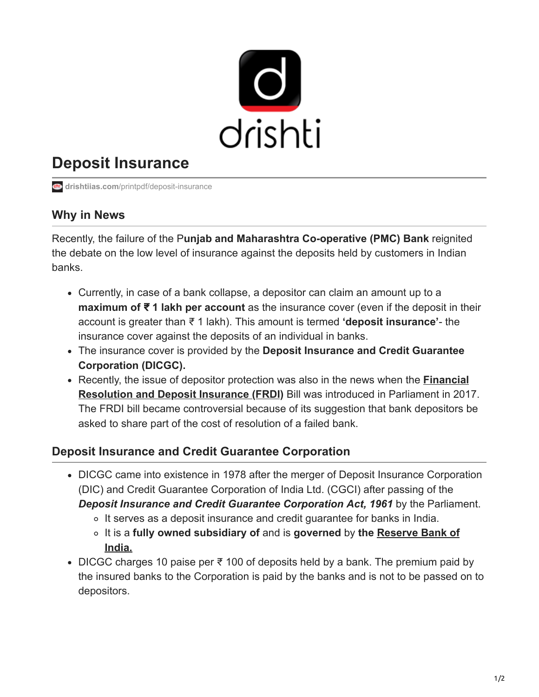

## **Deposit Insurance**

**drishtiias.com**[/printpdf/deposit-insurance](https://www.drishtiias.com/printpdf/deposit-insurance)

## **Why in News**

Recently, the failure of the P**unjab and Maharashtra Co-operative (PMC) Bank** reignited the debate on the low level of insurance against the deposits held by customers in Indian banks.

- Currently, in case of a bank collapse, a depositor can claim an amount up to a **maximum of** ₹ **1 lakh per account** as the insurance cover (even if the deposit in their account is greater than ₹ 1 lakh). This amount is termed **'deposit insurance'**- the insurance cover against the deposits of an individual in banks.
- The insurance cover is provided by the **Deposit Insurance and Credit Guarantee Corporation (DICGC).**
- [Recently, the issue of depositor protection was also in the news when the](https://www.drishtiias.com/daily-updates/daily-news-analysis/government-decides-to-withdraw-frdi-bill) **Financial Resolution and Deposit Insurance (FRDI)** Bill was introduced in Parliament in 2017. The FRDI bill became controversial because of its suggestion that bank depositors be asked to share part of the cost of resolution of a failed bank.

## **Deposit Insurance and Credit Guarantee Corporation**

- DICGC came into existence in 1978 after the merger of Deposit Insurance Corporation (DIC) and Credit Guarantee Corporation of India Ltd. (CGCI) after passing of the *Deposit Insurance and Credit Guarantee Corporation Act, 1961* by the Parliament.
	- o It serves as a deposit insurance and credit guarantee for banks in India.
	- It is a **[fully owned subsidiary of](https://www.drishtiias.com/important-institutions/drishti-specials-important-institutions-national-institutions/important-institutions-national-institution-reserve-bank-of-india)** and is **governed** by **the Reserve Bank of India.**
- DICGC charges 10 paise per ₹ 100 of deposits held by a bank. The premium paid by the insured banks to the Corporation is paid by the banks and is not to be passed on to depositors.